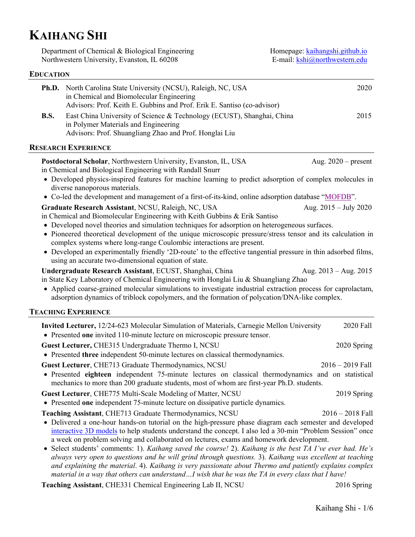# **KAIHANG SHI**

**EDUCATION**

Department of Chemical & Biological Engineering Northwestern University, Evanston, IL 60208

Homepage: [kaihangshi.github.io](https://kaihangshi.github.io/) E-mail: [kshi@northwestern.edu](mailto:kshi@northwestern.edu)

# **Ph.D.** North Carolina State University (NCSU), Raleigh, NC, USA 2020 in Chemical and Biomolecular Engineering Advisors: Prof. Keith E. Gubbins and Prof. Erik E. Santiso (co-advisor) **B.S.** East China University of Science & Technology (ECUST), Shanghai, China 2015 in Polymer Materials and Engineering Advisors: Prof. Shuangliang Zhao and Prof. Honglai Liu **RESEARCH EXPERIENCE Postdoctoral Scholar, Northwestern University, Evanston, IL, USA** Aug. 2020 – present in Chemical and Biological Engineering with Randall Snurr • Developed physics-inspired features for machine learning to predict adsorption of complex molecules in diverse nanoporous materials. • Co-led the development and management of a first-of-its-kind, online adsorption database ["MOFDB"](https://mof.tech.northwestern.edu/). **Graduate Research Assistant**, NCSU, Raleigh, NC, USA Aug. 2015 – July 2020 in Chemical and Biomolecular Engineering with Keith Gubbins & Erik Santiso • Developed novel theories and simulation techniques for adsorption on heterogeneous surfaces. • Pioneered theoretical development of the unique microscopic pressure/stress tensor and its calculation in complex systems where long-range Coulombic interactions are present. • Developed an experimentally friendly '2D-route' to the effective tangential pressure in thin adsorbed films, using an accurate two-dimensional equation of state. **Undergraduate Research Assistant**, ECUST, Shanghai, China Aug. 2013 – Aug. 2015 in State Key Laboratory of Chemical Engineering with Honglai Liu & Shuangliang Zhao • Applied coarse-grained molecular simulations to investigate industrial extraction process for caprolactam, adsorption dynamics of triblock copolymers, and the formation of polycation/DNA-like complex. **TEACHING EXPERIENCE Invited Lecturer,** 12/24-623 Molecular Simulation of Materials, Carnegie Mellon University 2020 Fall • Presented **one** invited 110-minute lecture on microscopic pressure tensor. **Guest Lecturer, CHE315 Undergraduate Thermo I, NCSU 2020 Spring 2020 Spring** • Presented **three** independent 50-minute lectures on classical thermodynamics. **Guest Lecturer**, CHE713 Graduate Thermodynamics, NCSU 2016 – 2016 – 2019 Fall • Presented **eighteen** independent 75-minute lectures on classical thermodynamics and on statistical mechanics to more than 200 graduate students, most of whom are first-year Ph.D. students. **Guest Lecturer**, CHE775 Multi-Scale Modeling of Matter, NCSU 2019 2019 Spring • Presented **one** independent 75-minute lecture on dissipative particle dynamics. **Teaching Assistant**, CHE713 Graduate Thermodynamics, NCSU 2016 – 2018 Fall • Delivered a one-hour hands-on tutorial on the high-pressure phase diagram each semester and developed [interactive 3D models](https://sketchfab.com/kshi/collections/3d-high-pressure-phase-diagram) to help students understand the concept. I also led a 30-min "Problem Session" once a week on problem solving and collaborated on lectures, exams and homework development. • Select students' comments: 1). *Kaihang saved the course!* 2). *Kaihang is the best TA I've ever had. He's always very open to questions and he will grind through questions.* 3). *Kaihang was excellent at teaching and explaining the material*. 4). *Kaihang is very passionate about Thermo and patiently explains complex material in a way that others can understand…I wish that he was the TA in every class that I have!*

**Teaching Assistant**, CHE331 Chemical Engineering Lab II, NCSU 2016 Spring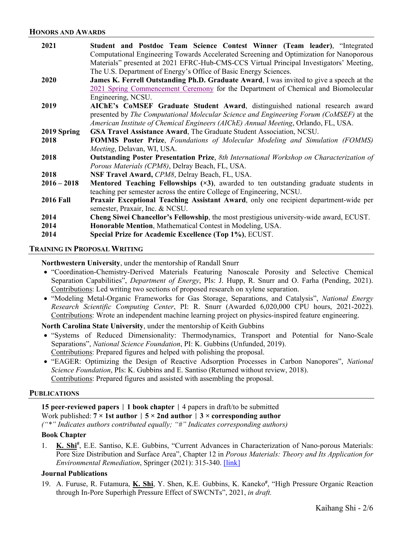| 2021             | Student and Postdoc Team Science Contest Winner (Team leader), "Integrated                                     |
|------------------|----------------------------------------------------------------------------------------------------------------|
|                  | Computational Engineering Towards Accelerated Screening and Optimization for Nanoporous                        |
|                  | Materials" presented at 2021 EFRC-Hub-CMS-CCS Virtual Principal Investigators' Meeting,                        |
|                  | The U.S. Department of Energy's Office of Basic Energy Sciences.                                               |
| 2020             | James K. Ferrell Outstanding Ph.D. Graduate Award, I was invited to give a speech at the                       |
|                  | 2021 Spring Commencement Ceremony for the Department of Chemical and Biomolecular                              |
|                  | Engineering, NCSU.                                                                                             |
| 2019             | AIChE's CoMSEF Graduate Student Award, distinguished national research award                                   |
|                  | presented by The Computational Molecular Science and Engineering Forum (CoMSEF) at the                         |
|                  | American Institute of Chemical Engineers (AIChE) Annual Meeting, Orlando, FL, USA.                             |
| 2019 Spring      | GSA Travel Assistance Award, The Graduate Student Association, NCSU.                                           |
| 2018             | <b>FOMMS Poster Prize, Foundations of Molecular Modeling and Simulation (FOMMS)</b>                            |
|                  | Meeting, Delavan, WI, USA.                                                                                     |
| 2018             | <b>Outstanding Poster Presentation Prize, 8th International Workshop on Characterization of</b>                |
|                  | Porous Materials (CPM8), Delray Beach, FL, USA.                                                                |
| 2018             | NSF Travel Award, CPM8, Delray Beach, FL, USA.                                                                 |
| $2016 - 2018$    | <b>Mentored Teaching Fellowships <math>(\times 3)</math></b> , awarded to ten outstanding graduate students in |
|                  | teaching per semester across the entire College of Engineering, NCSU.                                          |
| <b>2016 Fall</b> | Praxair Exceptional Teaching Assistant Award, only one recipient department-wide per                           |
|                  | semester, Praxair, Inc. & NCSU.                                                                                |
| 2014             | Cheng Siwei Chancellor's Fellowship, the most prestigious university-wide award, ECUST.                        |
| 2014             | Honorable Mention, Mathematical Contest in Modeling, USA.                                                      |
| 2014             | Special Prize for Academic Excellence (Top 1%), ECUST.                                                         |

#### **TRAINING IN PROPOSAL WRITING**

**Northwestern University**, under the mentorship of Randall Snurr

- "Coordination-Chemistry-Derived Materials Featuring Nanoscale Porosity and Selective Chemical Separation Capabilities", *Department of Energy*, PIs: J. Hupp, R. Snurr and O. Farha (Pending, 2021). Contributions: Led writing two sections of proposed research on xylene separation.
- "Modeling Metal-Organic Frameworks for Gas Storage, Separations, and Catalysis", *National Energy Research Scientific Computing Center*, PI: R. Snurr (Awarded 6,020,000 CPU hours, 2021-2022). Contributions: Wrote an independent machine learning project on physics-inspired feature engineering.

**North Carolina State University**, under the mentorship of Keith Gubbins

- "Systems of Reduced Dimensionality: Thermodynamics, Transport and Potential for Nano-Scale Separations", *National Science Foundation*, PI: K. Gubbins (Unfunded, 2019). Contributions: Prepared figures and helped with polishing the proposal.
- "EAGER: Optimizing the Design of Reactive Adsorption Processes in Carbon Nanopores", *National Science Foundation*, PIs: K. Gubbins and E. Santiso (Returned without review, 2018). Contributions: Prepared figures and assisted with assembling the proposal.

#### **PUBLICATIONS**

**15 peer-reviewed papers** | **1 book chapter** | 4 papers in draft/to be submitted Work published:  $7 \times 1$ st author  $\mid 5 \times 2$ nd author  $\mid 3 \times$  corresponding author *("\*" Indicates authors contributed equally; "#" Indicates corresponding authors)*

#### **Book Chapter**

1. **K. Shi**<sup>#</sup>, E.E. Santiso, K.E. Gubbins, "Current Advances in Characterization of Nano-porous Materials: Pore Size Distribution and Surface Area", Chapter 12 in *Porous Materials: Theory and Its Application for Environmental Remediation*, Springer (2021): 315-340. [\[link\]](https://link.springer.com/chapter/10.1007/978-3-030-65991-2_12) 

# **Journal Publications**

19. A. Furuse, R. Futamura, **K. Shi**, Y. Shen, K.E. Gubbins, K. Kaneko**#** , "High Pressure Organic Reaction through In-Pore Superhigh Pressure Effect of SWCNTs", 2021, *in draft.*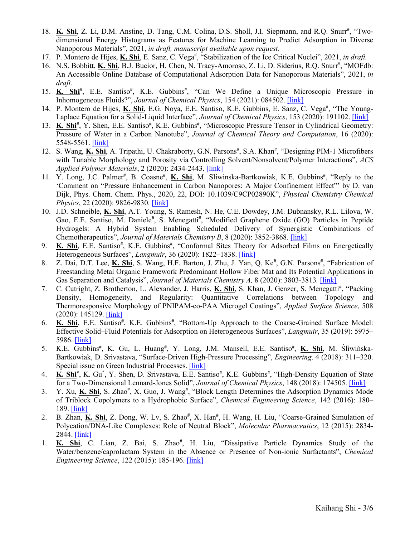- 18. K. Shi, Z. Li, D.M. Anstine, D. Tang, C.M. Colina, D.S. Sholl, J.I. Siepmann, and R.Q. Snurr<sup>#</sup>, "Twodimensional Energy Histograms as Features for Machine Learning to Predict Adsorption in Diverse Nanoporous Materials", 2021, *in draft, manuscript available upon request.*
- 17. P. Montero de Hijes, K. Shi, E. Sanz, C. Vega<sup>#</sup>, "Stabilization of the Ice Critical Nuclei", 2021, *in draft*.
- 16. N.S. Bobbitt, *K. Shi, B.J. Bucior, H. Chen, N. Tracy-Amoroso, Z. Li, D. Siderius, R.Q. Snurr<sup>#</sup>, "MOFdb:* An Accessible Online Database of Computational Adsorption Data for Nanoporous Materials", 2021, *in draft.*
- 15. **K. Shi<sup>#</sup>**, E.E. Santiso<sup>#</sup>, K.E. Gubbins<sup>#</sup>, "Can We Define a Unique Microscopic Pressure in Inhomogeneous Fluids?", *Journal of Chemical Physics*, 154 (2021): 084502. [\[link\]](https://aip.scitation.org/doi/10.1063/5.0044487)
- 14. P. Montero de Hijes, K. Shi, E.G. Noya, E.E. Santiso, K.E. Gubbins, E. Sanz, C. Vega<sup>#</sup>, "The Young-Laplace Equation for a Solid-Liquid Interface", *Journal of Chemical Physics*, 153 (2020): 191102. [\[link\]](https://aip.scitation.org/doi/10.1063/5.0032602)
- 13. K. Shi<sup>#</sup>, Y. Shen, E.E. Santiso<sup>#</sup>, K.E. Gubbins<sup>#</sup>, "Microscopic Pressure Tensor in Cylindrical Geometry: Pressure of Water in a Carbon Nanotube", *Journal of Chemical Theory and Computation*, 16 (2020): 5548-5561. [\[link\]](https://pubs.acs.org/doi/abs/10.1021/acs.jctc.0c00607)
- 12. S. Wang, K. Shi, A. Tripathi, U. Chakraborty, G.N. Parsons<sup>#</sup>, S.A. Khan<sup>#</sup>, "Designing PIM-1 Microfibers with Tunable Morphology and Porosity via Controlling Solvent/Nonsolvent/Polymer Interactions", *ACS Applied Polymer Materials*, 2 (2020): 2434-2443. [\[link\]](https://pubs.acs.org/doi/abs/10.1021/acsapm.0c00386)
- 11. Y. Long, J.C. Palmer<sup>#</sup>, B. Coasne<sup>#</sup>, K. Shi, M. Sliwinska-Bartkowiak, K.E. Gubbins<sup>#</sup>, "Reply to the 'Comment on "Pressure Enhancement in Carbon Nanopores: A Major Confinement Effect"' by D. van Dijk, Phys. Chem. Chem. Phys., 2020, 22, DOI: 10.1039/C9CP02890K", *Physical Chemistry Chemical Physics*, 22 (2020): 9826-9830. [\[link\]](https://pubs.rsc.org/en/content/articlelanding/2020/cp/c9cp04289j/unauth#!divAbstract)
- 10. J.D. Schneible, **K. Shi**, A.T. Young, S. Ramesh, N. He, C.E. Dowdey, J.M. Dubnansky, R.L. Lilova, W. Gao, E.E. Santiso, M. Daniele<sup>#</sup>, S. Menegatti<sup>#</sup>, "Modified Graphene Oxide (GO) Particles in Peptide Hydrogels: A Hybrid System Enabling Scheduled Delivery of Synergistic Combinations of Chemotherapeutics", *Journal of Materials Chemistry B*, 8 (2020): 3852-3868. [\[link\]](https://pubs.rsc.org/--/content/articlelanding/2020/tb/d0tb00064g/unauth#!divAbstract)
- 9. K. Shi, E.E. Santiso<sup>#</sup>, K.E. Gubbins<sup>#</sup>, "Conformal Sites Theory for Adsorbed Films on Energetically Heterogeneous Surfaces", *Langmuir*, 36 (2020): 1822–1838. [\[link\]](https://pubs.acs.org/doi/abs/10.1021/acs.langmuir.9b03633)
- 8. Z. Dai, D.T. Lee, K. Shi, S. Wang, H.F. Barton, J. Zhu, J. Yan, Q. Ke<sup>#</sup>, G.N. Parsons<sup>#</sup>, "Fabrication of Freestanding Metal Organic Framework Predominant Hollow Fiber Mat and Its Potential Applications in Gas Separation and Catalysis", *Journal of Materials Chemistry A,* 8 (2020): 3803-3813*.* [\[link\]](https://pubs.rsc.org/en/content/articlelanding/2020/TA/C9TA11701F#!divAbstract)
- 7. C. Cutright, Z. Brotherton, L. Alexander, J. Harris, **K. Shi**, S. Khan, J. Genzer, S. Menegatti**#** , "Packing Density, Homogeneity, and Regularity: Quantitative Correlations between Topology and Thermoresponsive Morphology of PNIPAM-co-PAA Microgel Coatings", *Applied Surface Science*, 508 (2020): 145129. [\[link\]](https://www.sciencedirect.com/science/article/pii/S0169433219339467?via%3Dihub)
- 6. K. Shi, E.E. Santiso<sup>#</sup>, K.E. Gubbins<sup>#</sup>, "Bottom-Up Approach to the Coarse-Grained Surface Model: Effective Solid–Fluid Potentials for Adsorption on Heterogeneous Surfaces", *Langmuir*, 35 (2019): 5975– 5986. [\[link\]](http://pubs.acs.org/doi/10.1021/acs.langmuir.9b00440)
- 5. K.E. Gubbins**#** , K. Gu, L. Huang**#** , Y. Long, J.M. Mansell, E.E. Santiso**#** , **K. Shi**, M. Śliwińska-Bartkowiak, D. Srivastava, "Surface-Driven High-Pressure Processing", *Engineering*. 4 (2018): 311–320. Special issue on Green Industrial Processes. [\[link\]](https://www.sciencedirect.com/science/article/pii/S2095809917308354)
- 4. K. Shi<sup>\*</sup>, K. Gu<sup>\*</sup>, Y. Shen, D. Srivastava, E.E. Santiso<sup>#</sup>, K.E. Gubbins<sup>#</sup>, "High-Density Equation of State for a Two-Dimensional Lennard-Jones Solid", *Journal of Chemical Physics*, 148 (2018): 174505. [\[link\]](https://aip.scitation.org/doi/abs/10.1063/1.5029488)
- 3. Y. Xu, K. Shi, S. Zhao<sup>#</sup>, X. Guo, J. Wang<sup>#</sup>, "Block Length Determines the Adsorption Dynamics Mode of Triblock Copolymers to a Hydrophobic Surface", *Chemical Engineering Science*, 142 (2016): 180– 189. [\[link\]](https://www.sciencedirect.com/science/article/pii/S0009250915007708)
- 2. B. Zhan, K. Shi, Z. Dong, W. Lv, S. Zhao<sup>#</sup>, X. Han<sup>#</sup>, H. Wang, H. Liu, "Coarse-Grained Simulation of Polycation/DNA-Like Complexes: Role of Neutral Block", *Molecular Pharmaceutics*, 12 (2015): 2834- 2844. [\[link\]](https://pubs.acs.org/doi/abs/10.1021/mp500861c)
- 1. K. Shi, C. Lian, Z. Bai, S. Zhao<sup>#</sup>, H. Liu, "Dissipative Particle Dynamics Study of the Water/benzene/caprolactam System in the Absence or Presence of Non-ionic Surfactants", *Chemical Engineering Science*, 122 (2015): 185-196. [\[link\]](https://www.sciencedirect.com/science/article/pii/S000925091400534X)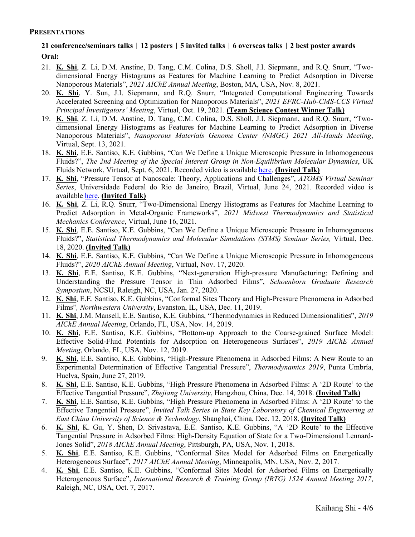# **21 conference/seminars talks** | **12 posters** | **5 invited talks** | **6 overseas talks** | **2 best poster awards Oral:**

- 21. **K. Shi**, Z. Li, D.M. Anstine, D. Tang, C.M. Colina, D.S. Sholl, J.I. Siepmann, and R.Q. Snurr, "Twodimensional Energy Histograms as Features for Machine Learning to Predict Adsorption in Diverse Nanoporous Materials", *2021 AIChE Annual Meeting*, Boston, MA, USA, Nov. 8, 2021.
- 20. **K. Shi**, Y. Sun, J.I. Siepmann, and R.Q. Snurr, "Integrated Computational Engineering Towards Accelerated Screening and Optimization for Nanoporous Materials", *2021 EFRC-Hub-CMS-CCS Virtual Principal Investigators' Meeting*, Virtual, Oct. 19, 2021. **(Team Science Contest Winner Talk)**
- 19. **K. Shi**, Z. Li, D.M. Anstine, D. Tang, C.M. Colina, D.S. Sholl, J.I. Siepmann, and R.Q. Snurr, "Twodimensional Energy Histograms as Features for Machine Learning to Predict Adsorption in Diverse Nanoporous Materials", *Nanoporous Materials Genome Center (NMGC) 2021 All-Hands Meeting*, Virtual, Sept. 13, 2021.
- 18. **K. Shi**, E.E. Santiso, K.E. Gubbins, "Can We Define a Unique Microscopic Pressure in Inhomogeneous Fluids?", *The 2nd Meeting of the Special Interest Group in Non-Equilibrium Molecular Dynamics*, UK Fluids Network, Virtual, Sept. 6, 2021. Recorded video is available [here.](https://youtu.be/wVHlGTRlmWg?t=7987) **(Invited Talk)**
- 17. **K. Shi**, "Pressure Tensor at Nanoscale: Theory, Applications and Challenges", *ATOMS Virtual Seminar Series*, Universidade Federal do Rio de Janeiro, Brazil, Virtual, June 24, 2021. Recorded video is available [here.](https://www.youtube.com/watch?v=sL9L4PI7c9s&t=3s) **(Invited Talk)**
- 16. **K. Shi**, Z. Li, R.Q. Snurr, "Two-Dimensional Energy Histograms as Features for Machine Learning to Predict Adsorption in Metal-Organic Frameworks", *2021 Midwest Thermodynamics and Statistical Mechanics Conference*, Virtual, June 16, 2021.
- 15. **K. Shi**, E.E. Santiso, K.E. Gubbins, "Can We Define a Unique Microscopic Pressure in Inhomogeneous Fluids?", *Statistical Thermodynamics and Molecular Simulations (STMS) Seminar Series,* Virtual, Dec. 18, 2020. **(Invited Talk)**
- 14. **K. Shi**, E.E. Santiso, K.E. Gubbins, "Can We Define a Unique Microscopic Pressure in Inhomogeneous Fluids?", *2020 AIChE Annual Meeting*, Virtual, Nov. 17, 2020.
- 13. **K. Shi**, E.E. Santiso, K.E. Gubbins, "Next-generation High-pressure Manufacturing: Defining and Understanding the Pressure Tensor in Thin Adsorbed Films", *Schoenborn Graduate Research Symposium*, NCSU, Raleigh, NC, USA, Jan. 27, 2020.
- 12. **K. Shi**, E.E. Santiso, K.E. Gubbins, "Conformal Sites Theory and High-Pressure Phenomena in Adsorbed Films"*, Northwestern University*, Evanston, IL, USA, Dec. 11, 2019.
- 11. **K. Shi**, J.M. Mansell, E.E. Santiso, K.E. Gubbins, "Thermodynamics in Reduced Dimensionalities", *2019 AIChE Annual Meeting*, Orlando, FL, USA, Nov. 14, 2019.
- 10. **K. Shi**, E.E. Santiso, K.E. Gubbins, "Bottom-up Approach to the Coarse-grained Surface Model: Effective Solid-Fluid Potentials for Adsorption on Heterogeneous Surfaces", *2019 AIChE Annual Meeting*, Orlando, FL, USA, Nov. 12, 2019.
- 9. **K. Shi**, E.E. Santiso, K.E. Gubbins, "High-Pressure Phenomena in Adsorbed Films: A New Route to an Experimental Determination of Effective Tangential Pressure", *Thermodynamics 2019*, Punta Umbría, Huelva, Spain, June 27, 2019.
- 8. **K. Shi**, E.E. Santiso, K.E. Gubbins, "High Pressure Phenomena in Adsorbed Films: A '2D Route' to the Effective Tangential Pressure", *Zhejiang University*, Hangzhou, China, Dec. 14, 2018. **(Invited Talk)**
- 7. **K. Shi**, E.E. Santiso, K.E. Gubbins, "High Pressure Phenomena in Adsorbed Films: A '2D Route' to the Effective Tangential Pressure", *Invited Talk Series in State Key Laboratory of Chemical Engineering at East China University of Science & Technology*, Shanghai, China, Dec. 12, 2018. **(Invited Talk)**
- 6. **K. Shi**, K. Gu, Y. Shen, D. Srivastava, E.E. Santiso, K.E. Gubbins, "A '2D Route' to the Effective Tangential Pressure in Adsorbed Films: High-Density Equation of State for a Two-Dimensional Lennard-Jones Solid", *2018 AIChE Annual Meeting*, Pittsburgh, PA, USA, Nov. 1, 2018.
- 5. **K. Shi**, E.E. Santiso, K.E. Gubbins, "Conformal Sites Model for Adsorbed Films on Energetically Heterogeneous Surface", *2017 AIChE Annual Meeting*, Minneapolis, MN, USA, Nov. 2, 2017.
- 4. **K. Shi**, E.E. Santiso, K.E. Gubbins, "Conformal Sites Model for Adsorbed Films on Energetically Heterogeneous Surface", *International Research & Training Group (IRTG) 1524 Annual Meeting 2017*, Raleigh, NC, USA, Oct. 7, 2017.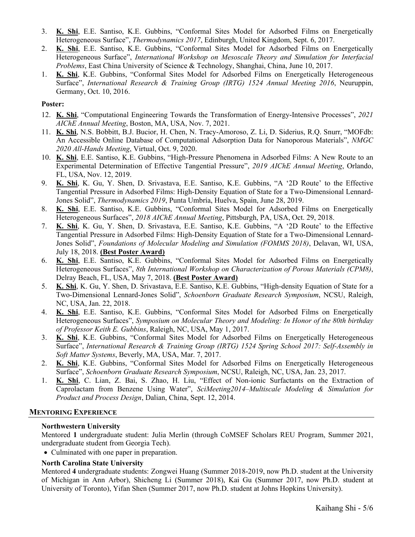- 3. **K. Shi**, E.E. Santiso, K.E. Gubbins, "Conformal Sites Model for Adsorbed Films on Energetically Heterogeneous Surface", *Thermodynamics 2017*, Edinburgh, United Kingdom, Sept. 6, 2017.
- 2. **K. Shi**, E.E. Santiso, K.E. Gubbins, "Conformal Sites Model for Adsorbed Films on Energetically Heterogeneous Surface", *International Workshop on Mesoscale Theory and Simulation for Interfacial Problems*, East China University of Science & Technology, Shanghai, China, June 10, 2017.
- 1. **K. Shi**, K.E. Gubbins, "Conformal Sites Model for Adsorbed Films on Energetically Heterogeneous Surface", *International Research & Training Group (IRTG) 1524 Annual Meeting 2016*, Neuruppin, Germany, Oct. 10, 2016.

#### **Poster:**

- 12. **K. Shi**, "Computational Engineering Towards the Transformation of Energy-Intensive Processes", *2021 AIChE Annual Meeting*, Boston, MA, USA, Nov. 7, 2021.
- 11. **K. Shi**, N.S. Bobbitt, B.J. Bucior, H. Chen, N. Tracy-Amoroso, Z. Li, D. Siderius, R.Q. Snurr, "MOFdb: An Accessible Online Database of Computational Adsorption Data for Nanoporous Materials", *NMGC 2020 All-Hands Meeting*, Virtual, Oct. 9, 2020.
- 10. **K. Shi**, E.E. Santiso, K.E. Gubbins, "High-Pressure Phenomena in Adsorbed Films: A New Route to an Experimental Determination of Effective Tangential Pressure", *2019 AIChE Annual Meeting*, Orlando, FL, USA, Nov. 12, 2019.
- 9. **K. Shi**, K. Gu, Y. Shen, D. Srivastava, E.E. Santiso, K.E. Gubbins, "A '2D Route' to the Effective Tangential Pressure in Adsorbed Films: High-Density Equation of State for a Two-Dimensional Lennard-Jones Solid", *Thermodynamics 2019*, Punta Umbría, Huelva, Spain, June 28, 2019.
- 8. **K. Shi**, E.E. Santiso, K.E. Gubbins, "Conformal Sites Model for Adsorbed Films on Energetically Heterogeneous Surfaces", *2018 AIChE Annual Meeting*, Pittsburgh, PA, USA, Oct. 29, 2018.
- 7. **K. Shi**, K. Gu, Y. Shen, D. Srivastava, E.E. Santiso, K.E. Gubbins, "A '2D Route' to the Effective Tangential Pressure in Adsorbed Films: High-Density Equation of State for a Two-Dimensional Lennard-Jones Solid", *Foundations of Molecular Modeling and Simulation (FOMMS 2018)*, Delavan, WI, USA, July 18, 2018. **(Best Poster Award)**
- 6. **K. Shi**, E.E. Santiso, K.E. Gubbins, "Conformal Sites Model for Adsorbed Films on Energetically Heterogeneous Surfaces", *8th International Workshop on Characterization of Porous Materials (CPM8)*, Delray Beach, FL, USA, May 7, 2018. **(Best Poster Award)**
- 5. **K. Shi**, K. Gu, Y. Shen, D. Srivastava, E.E. Santiso, K.E. Gubbins, "High-density Equation of State for a Two-Dimensional Lennard-Jones Solid", *Schoenborn Graduate Research Symposium*, NCSU, Raleigh, NC, USA, Jan. 22, 2018.
- 4. **K. Shi**, E.E. Santiso, K.E. Gubbins, "Conformal Sites Model for Adsorbed Films on Energetically Heterogeneous Surfaces", *Symposium on Molecular Theory and Modeling: In Honor of the 80th birthday of Professor Keith E. Gubbins*, Raleigh, NC, USA, May 1, 2017.
- 3. **K. Shi**, K.E. Gubbins, "Conformal Sites Model for Adsorbed Films on Energetically Heterogeneous Surface", *International Research & Training Group (IRTG) 1524 Spring School 2017: Self-Assembly in Soft Matter Systems*, Beverly, MA, USA, Mar. 7, 2017.
- 2. **K. Shi**, K.E. Gubbins, "Conformal Sites Model for Adsorbed Films on Energetically Heterogeneous Surface", *Schoenborn Graduate Research Symposium*, NCSU, Raleigh, NC, USA, Jan. 23, 2017.
- 1. **K. Shi**, C. Lian, Z. Bai, S. Zhao, H. Liu, "Effect of Non-ionic Surfactants on the Extraction of Caprolactam from Benzene Using Water", *SciMeeting2014–Multiscale Modeling & Simulation for Product and Process Design*, Dalian, China, Sept. 12, 2014.

#### **MENTORING EXPERIENCE**

#### **Northwestern University**

Mentored **1** undergraduate student: Julia Merlin (through CoMSEF Scholars REU Program, Summer 2021, undergraduate student from Georgia Tech).

• Culminated with one paper in preparation.

# **North Carolina State University**

Mentored **4** undergraduate students: Zongwei Huang (Summer 2018-2019, now Ph.D. student at the University of Michigan in Ann Arbor), Shicheng Li (Summer 2018), Kai Gu (Summer 2017, now Ph.D. student at University of Toronto), Yifan Shen (Summer 2017, now Ph.D. student at Johns Hopkins University).